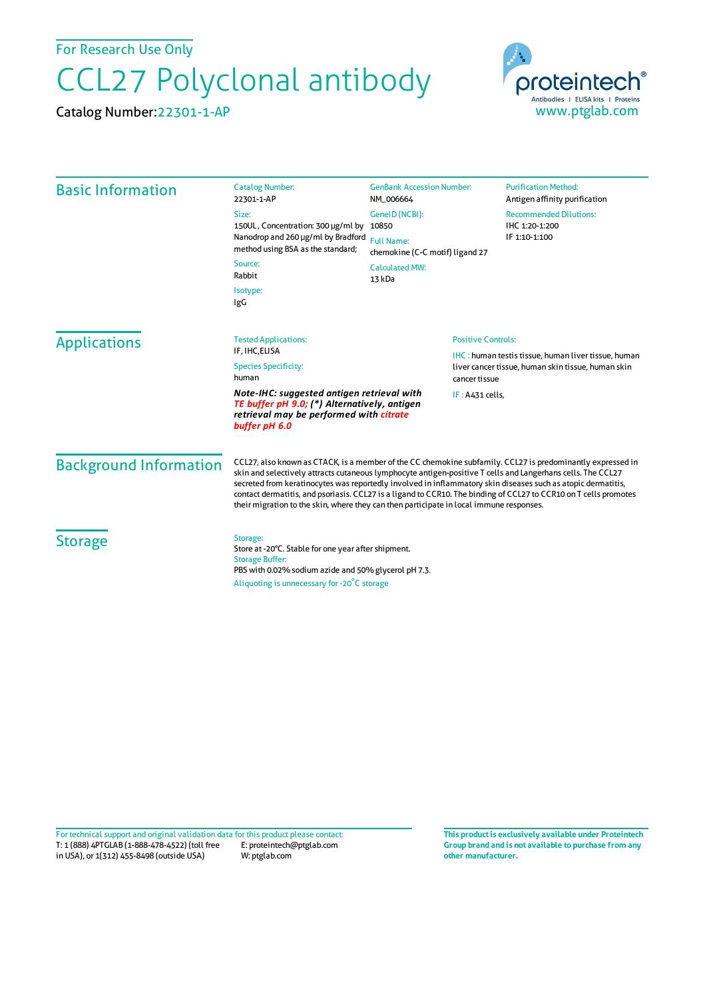For Research Use Only

## CCL27 Polyclonal antibody

Catalog Number:22301-1-AP



| <b>Basic Information</b>      | <b>Catalog Number:</b><br>22301-1-AP                                                                                                                                                                                                                                                                                                                                                                                                                                                                                                                     | <b>GenBank Accession Number:</b><br>NM_006664 | <b>Purification Method:</b><br>Antigen affinity purification                                                     |  |
|-------------------------------|----------------------------------------------------------------------------------------------------------------------------------------------------------------------------------------------------------------------------------------------------------------------------------------------------------------------------------------------------------------------------------------------------------------------------------------------------------------------------------------------------------------------------------------------------------|-----------------------------------------------|------------------------------------------------------------------------------------------------------------------|--|
|                               | Size:<br>150UL, Concentration: 300 µg/ml by<br>Nanodrop and 260 µg/ml by Bradford<br>method using BSA as the standard;<br>Source:<br>Rabbit                                                                                                                                                                                                                                                                                                                                                                                                              | GenelD (NCBI):                                | <b>Recommended Dilutions:</b>                                                                                    |  |
|                               |                                                                                                                                                                                                                                                                                                                                                                                                                                                                                                                                                          | 10850<br><b>Full Name:</b>                    | IHC 1:20-1:200<br>IF 1:10-1:100                                                                                  |  |
|                               |                                                                                                                                                                                                                                                                                                                                                                                                                                                                                                                                                          | chemokine (C-C motif) ligand 27               |                                                                                                                  |  |
|                               |                                                                                                                                                                                                                                                                                                                                                                                                                                                                                                                                                          | <b>Calculated MW:</b><br>13 kDa               |                                                                                                                  |  |
|                               | Isotype:<br>IgG                                                                                                                                                                                                                                                                                                                                                                                                                                                                                                                                          |                                               |                                                                                                                  |  |
| <b>Applications</b>           | <b>Positive Controls:</b><br><b>Tested Applications:</b><br>IF, IHC, ELISA<br><b>Species Specificity:</b><br>human<br>cancer tissue                                                                                                                                                                                                                                                                                                                                                                                                                      |                                               |                                                                                                                  |  |
|                               |                                                                                                                                                                                                                                                                                                                                                                                                                                                                                                                                                          |                                               | <b>IHC:</b> human testis tissue, human liver tissue, human<br>liver cancer tissue, human skin tissue, human skin |  |
|                               |                                                                                                                                                                                                                                                                                                                                                                                                                                                                                                                                                          |                                               |                                                                                                                  |  |
|                               | Note-IHC: suggested antigen retrieval with<br>IF: A431 cells,<br>TE buffer pH 9.0; (*) Alternatively, antigen<br>retrieval may be performed with citrate<br>buffer pH 6.0                                                                                                                                                                                                                                                                                                                                                                                |                                               |                                                                                                                  |  |
| <b>Background Information</b> | CCL27, also known as CTACK, is a member of the CC chemokine subfamily. CCL27 is predominantly expressed in<br>skin and selectively attracts cutaneous lymphocyte antigen-positive T cells and Langerhans cells. The CCL27<br>secreted from keratinocytes was reportedly involved in inflammatory skin diseases such as atopic dermatitis,<br>contact dermatitis, and psoriasis. CCL27 is a ligand to CCR10. The binding of CCL27 to CCR10 on T cells promotes<br>their migration to the skin, where they can then participate in local immune responses. |                                               |                                                                                                                  |  |
| <b>Storage</b>                | Storage:<br>Store at -20°C. Stable for one year after shipment.<br><b>Storage Buffer:</b><br>PBS with 0.02% sodium azide and 50% glycerol pH 7.3.                                                                                                                                                                                                                                                                                                                                                                                                        |                                               |                                                                                                                  |  |
|                               | Aliquoting is unnecessary for -20°C storage                                                                                                                                                                                                                                                                                                                                                                                                                                                                                                              |                                               |                                                                                                                  |  |

T: 1 (888) 4PTGLAB (1-888-478-4522) (toll free in USA), or 1(312) 455-8498 (outside USA) E: proteintech@ptglab.com W: ptglab.com Fortechnical support and original validation data forthis product please contact: **This productis exclusively available under Proteintech**

**Group brand and is not available to purchase from any other manufacturer.**